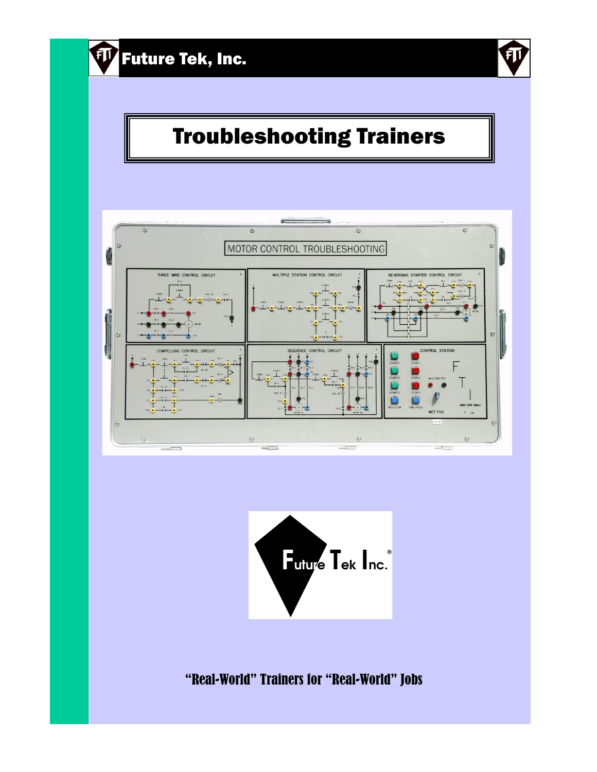

# Troubleshooting Trainers





"Real-World" Trainers for "Real-World" Jobs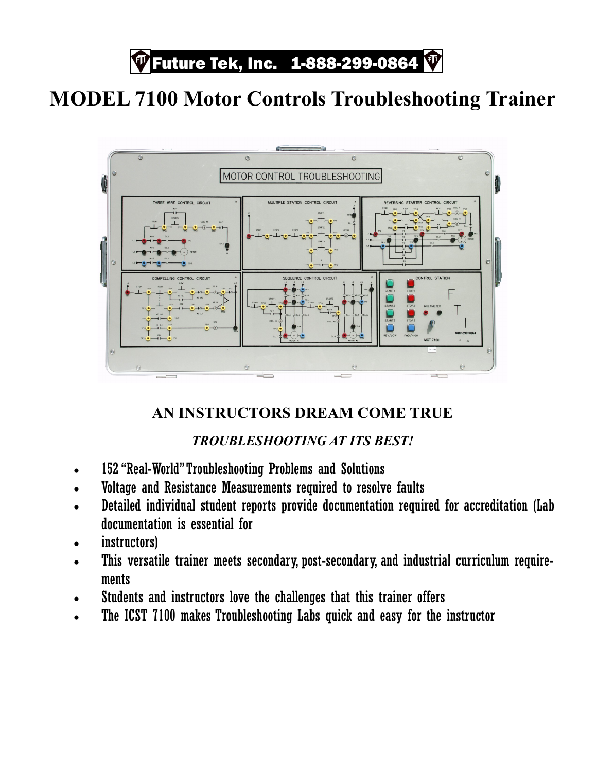*F* Future Tek, Inc. 1-888-299-0864

## **MODEL 7100 Motor Controls Troubleshooting Trainer**



### **AN INSTRUCTORS DREAM COME TRUE**

#### *TROUBLESHOOTING AT ITS BEST!*

- 152 "Real-World" Troubleshooting Problems and Solutions
- Voltage and Resistance Measurements required to resolve faults
- Detailed individual student reports provide documentation required for accreditation (Lab documentation is essential for
- instructors)
- This versatile trainer meets secondary, post-secondary, and industrial curriculum requirements
- Students and instructors love the challenges that this trainer offers
- The ICST 7100 makes Troubleshooting Labs quick and easy for the instructor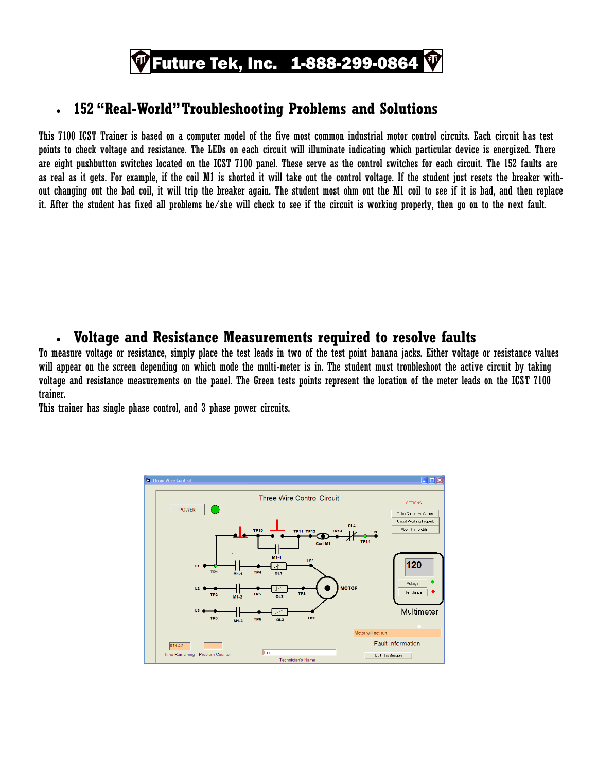

#### • **152 "Real-World" Troubleshooting Problems and Solutions**

This 7100 ICST Trainer is based on a computer model of the five most common industrial motor control circuits. Each circuit has test points to check voltage and resistance. The LEDs on each circuit will illuminate indicating which particular device is energized. There are eight pushbutton switches located on the ICST 7100 panel. These serve as the control switches for each circuit. The 152 faults are as real as it gets. For example, if the coil M1 is shorted it will take out the control voltage. If the student just resets the breaker without changing out the bad coil, it will trip the breaker again. The student most ohm out the M1 coil to see if it is bad, and then replace it. After the student has fixed all problems he/she will check to see if the circuit is working properly, then go on to the next fault.

#### • **Voltage and Resistance Measurements required to resolve faults**

To measure voltage or resistance, simply place the test leads in two of the test point banana jacks. Either voltage or resistance values will appear on the screen depending on which mode the multi-meter is in. The student must troubleshoot the active circuit by taking voltage and resistance measurements on the panel. The Green tests points represent the location of the meter leads on the ICST 7100 trainer.

This trainer has single phase control, and 3 phase power circuits.

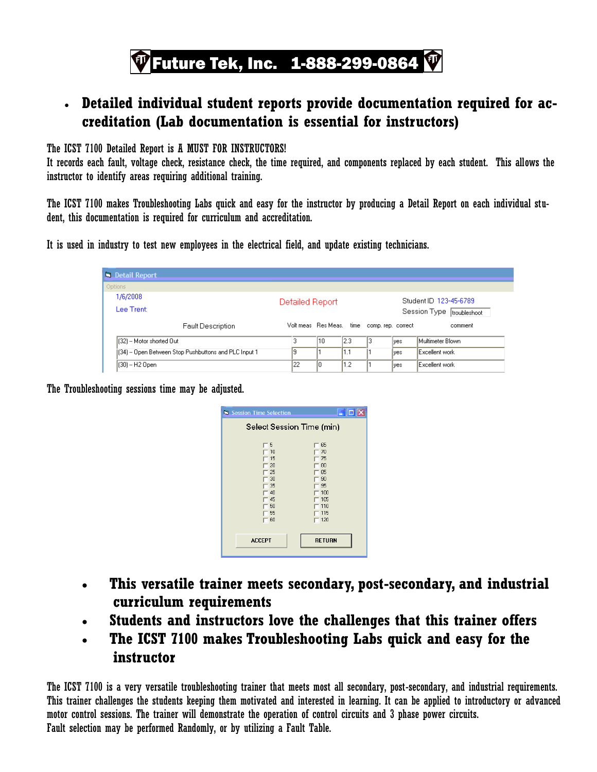## $\Psi$  Future Tek, Inc.  $\:$  1-888-299-0864

#### • **Detailed individual student reports provide documentation required for accreditation (Lab documentation is essential for instructors)**

The ICST 7100 Detailed Report is A MUST FOR INSTRUCTORS!

It records each fault, voltage check, resistance check, the time required, and components replaced by each student. This allows the instructor to identify areas requiring additional training.

The ICST 7100 makes Troubleshooting Labs quick and easy for the instructor by producing a Detail Report on each individual student, this documentation is required for curriculum and accreditation.

It is used in industry to test new employees in the electrical field, and update existing technicians.

| <b>N. Detail Report</b>                               |                                             |    |      |                        |             |                       |  |
|-------------------------------------------------------|---------------------------------------------|----|------|------------------------|-------------|-----------------------|--|
| Options                                               |                                             |    |      |                        |             |                       |  |
| 1/6/2008                                              | Detailed Report                             |    |      | Student ID 123-45-6789 |             |                       |  |
| Lee Trent:                                            | Session Type troubleshoot                   |    |      |                        |             |                       |  |
| <b>Fault Description</b>                              | Volt meas Res Meas, time comp. rep. correct |    |      |                        |             | comment               |  |
| [32] -- Motor shorted Out                             | 3                                           | 10 | 12.3 | з                      | lves        | Multimeter Blown      |  |
| [34] -- Open Between Stop Pushbuttons and PLC Input 1 |                                             |    | 1.1  |                        | <b>lves</b> | <b>Excellent work</b> |  |
| (30) -- H2 Open                                       | 122                                         | 10 | 1.2  |                        | lyes.       | <b>Excellent work</b> |  |

The Troubleshooting sessions time may be adjusted.

| <b>N. Session Time Selection</b>                                            | $\blacksquare$ $\blacksquare$ $\times$                                       |  |  |  |  |
|-----------------------------------------------------------------------------|------------------------------------------------------------------------------|--|--|--|--|
| Select Session Time (min)                                                   |                                                                              |  |  |  |  |
| 5<br>$-10$<br>15<br>20<br>125<br>30<br>135<br>40<br>45<br>50<br>55<br>$-60$ | 65<br>70<br>75<br>80<br>85<br>90<br>95<br>100<br>105<br>110<br>115<br>$-120$ |  |  |  |  |
| <b>ACCEPT</b>                                                               | <b>RETURN</b>                                                                |  |  |  |  |
|                                                                             |                                                                              |  |  |  |  |

- **This versatile trainer meets secondary, post-secondary, and industrial curriculum requirements**
- **Students and instructors love the challenges that this trainer offers**
- **The ICST 7100 makes Troubleshooting Labs quick and easy for the instructor**

The ICST 7100 is a very versatile troubleshooting trainer that meets most all secondary, post-secondary, and industrial requirements. This trainer challenges the students keeping them motivated and interested in learning. It can be applied to introductory or advanced motor control sessions. The trainer will demonstrate the operation of control circuits and 3 phase power circuits. Fault selection may be performed Randomly, or by utilizing a Fault Table.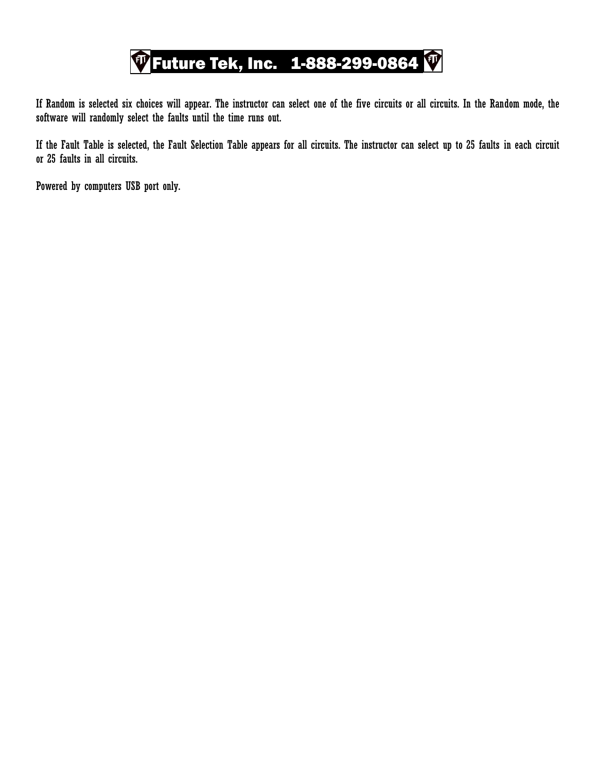

If Random is selected six choices will appear. The instructor can select one of the five circuits or all circuits. In the Random mode, the software will randomly select the faults until the time runs out.

If the Fault Table is selected, the Fault Selection Table appears for all circuits. The instructor can select up to 25 faults in each circuit or 25 faults in all circuits.

Powered by computers USB port only.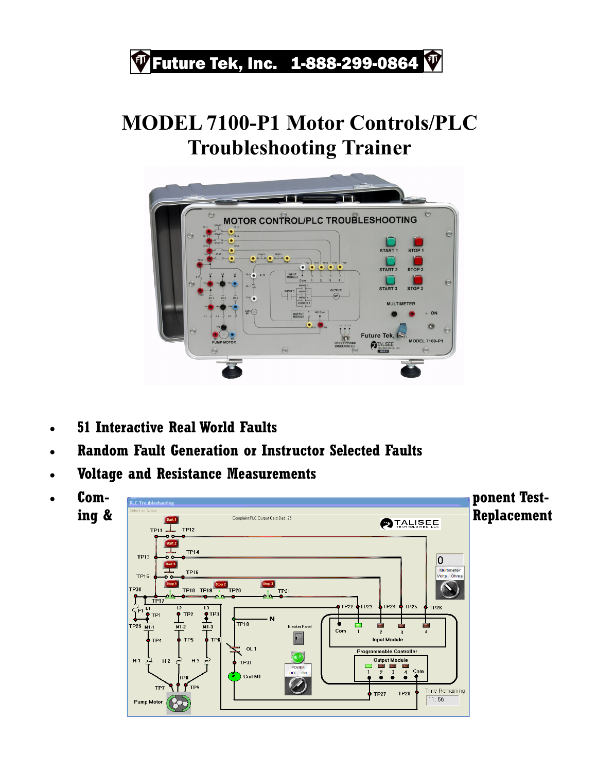# $\Pi$  Future Tek, Inc. 1-888-299-0864

### **MODEL 7100-P1 Motor Controls/PLC Troubleshooting Trainer**



- **51 Interactive Real World Faults**
- **Random Fault Generation or Instructor Selected Faults**
- **Voltage and Resistance Measurements**
- 

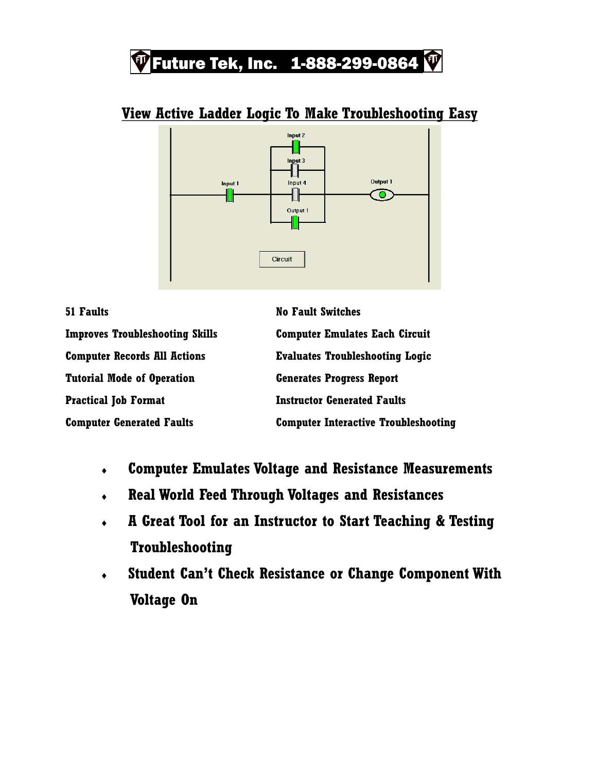### **Future Tek, Inc.**  $1-888-299-0864$

#### Input 2 Input  $3$ 卝 Outnut 1 Input 4 Input 1 ╢┟ ╢  $\bullet$  . Output 1 Circuit

#### **View Active Ladder Logic To Make Troubleshooting Easy**

| <b>51 Faults</b>                       | <b>No Fault Switches</b>                    |
|----------------------------------------|---------------------------------------------|
| <b>Improves Troubleshooting Skills</b> | <b>Computer Emulates Each Circuit</b>       |
| <b>Computer Records All Actions</b>    | <b>Evaluates Troubleshooting Logic</b>      |
| Tutorial Mode of Operation             | <b>Generates Progress Report</b>            |
| <b>Practical Job Format</b>            | <b>Instructor Generated Faults</b>          |
| <b>Computer Generated Faults</b>       | <b>Computer Interactive Troubleshooting</b> |

- **Computer Emulates Voltage and Resistance Measurements**
- **Real World Feed Through Voltages and Resistances**
- **A Great Tool for an Instructor to Start Teaching & Testing Troubleshooting**
- **Student Can't Check Resistance or Change Component With Voltage On**